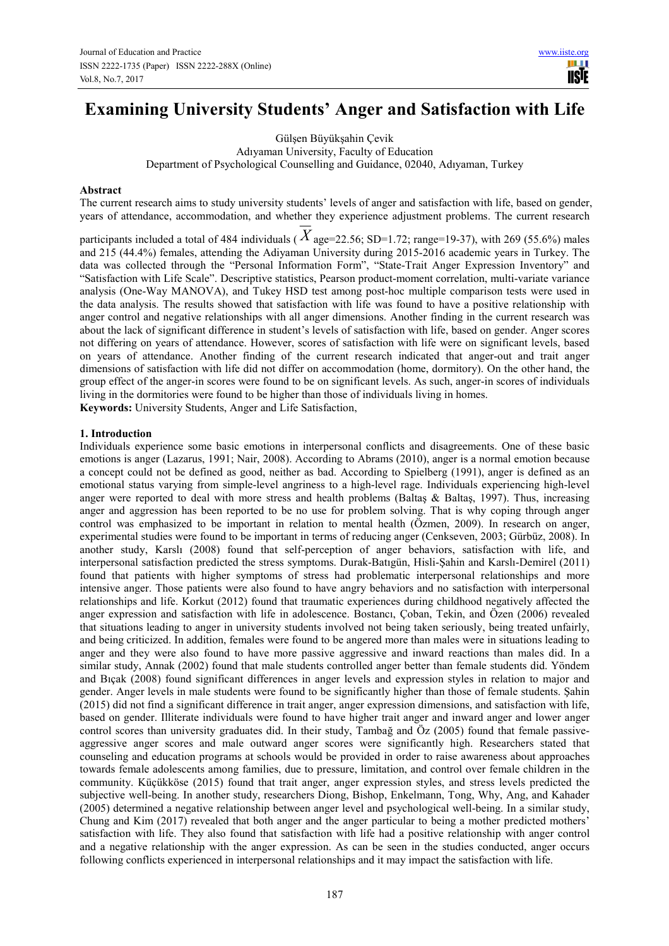**TISIE** 

# **Examining University Students' Anger and Satisfaction with Life**

Gülşen Büyükşahin Çevik Adıyaman University, Faculty of Education Department of Psychological Counselling and Guidance, 02040, Adıyaman, Turkey

#### **Abstract**

The current research aims to study university students' levels of anger and satisfaction with life, based on gender, years of attendance, accommodation, and whether they experience adjustment problems. The current research

participants included a total of 484 individuals ( $\overline{X}$  age=22.56; SD=1.72; range=19-37), with 269 (55.6%) males and 215 (44.4%) females, attending the Adiyaman University during 2015-2016 academic years in Turkey. The data was collected through the "Personal Information Form", "State-Trait Anger Expression Inventory" and "Satisfaction with Life Scale". Descriptive statistics, Pearson product-moment correlation, multi-variate variance analysis (One-Way MANOVA), and Tukey HSD test among post-hoc multiple comparison tests were used in the data analysis. The results showed that satisfaction with life was found to have a positive relationship with anger control and negative relationships with all anger dimensions. Another finding in the current research was about the lack of significant difference in student's levels of satisfaction with life, based on gender. Anger scores not differing on years of attendance. However, scores of satisfaction with life were on significant levels, based on years of attendance. Another finding of the current research indicated that anger-out and trait anger dimensions of satisfaction with life did not differ on accommodation (home, dormitory). On the other hand, the group effect of the anger-in scores were found to be on significant levels. As such, anger-in scores of individuals living in the dormitories were found to be higher than those of individuals living in homes.

**Keywords:** University Students, Anger and Life Satisfaction,

#### **1. Introduction**

Individuals experience some basic emotions in interpersonal conflicts and disagreements. One of these basic emotions is anger (Lazarus, 1991; Nair, 2008). According to Abrams (2010), anger is a normal emotion because a concept could not be defined as good, neither as bad. According to Spielberg (1991), anger is defined as an emotional status varying from simple-level angriness to a high-level rage. Individuals experiencing high-level anger were reported to deal with more stress and health problems (Baltaş & Baltaş, 1997). Thus, increasing anger and aggression has been reported to be no use for problem solving. That is why coping through anger control was emphasized to be important in relation to mental health (Özmen, 2009). In research on anger, experimental studies were found to be important in terms of reducing anger (Cenkseven, 2003; Gürbüz, 2008). In another study, Karslı (2008) found that self-perception of anger behaviors, satisfaction with life, and interpersonal satisfaction predicted the stress symptoms. Durak-Batıgün, Hisli-Şahin and Karslı-Demirel (2011) found that patients with higher symptoms of stress had problematic interpersonal relationships and more intensive anger. Those patients were also found to have angry behaviors and no satisfaction with interpersonal relationships and life. Korkut (2012) found that traumatic experiences during childhood negatively affected the anger expression and satisfaction with life in adolescence. Bostancı, Çoban, Tekin, and Özen (2006) revealed that situations leading to anger in university students involved not being taken seriously, being treated unfairly, and being criticized. In addition, females were found to be angered more than males were in situations leading to anger and they were also found to have more passive aggressive and inward reactions than males did. In a similar study, Annak (2002) found that male students controlled anger better than female students did. Yöndem and Bıçak (2008) found significant differences in anger levels and expression styles in relation to major and gender. Anger levels in male students were found to be significantly higher than those of female students. Şahin (2015) did not find a significant difference in trait anger, anger expression dimensions, and satisfaction with life, based on gender. Illiterate individuals were found to have higher trait anger and inward anger and lower anger control scores than university graduates did. In their study, Tambağ and Öz (2005) found that female passiveaggressive anger scores and male outward anger scores were significantly high. Researchers stated that counseling and education programs at schools would be provided in order to raise awareness about approaches towards female adolescents among families, due to pressure, limitation, and control over female children in the community. Küçükköse (2015) found that trait anger, anger expression styles, and stress levels predicted the subjective well-being. In another study, researchers Diong, Bishop, Enkelmann, Tong, Why, Ang, and Kahader (2005) determined a negative relationship between anger level and psychological well-being. In a similar study, Chung and Kim (2017) revealed that both anger and the anger particular to being a mother predicted mothers' satisfaction with life. They also found that satisfaction with life had a positive relationship with anger control and a negative relationship with the anger expression. As can be seen in the studies conducted, anger occurs following conflicts experienced in interpersonal relationships and it may impact the satisfaction with life.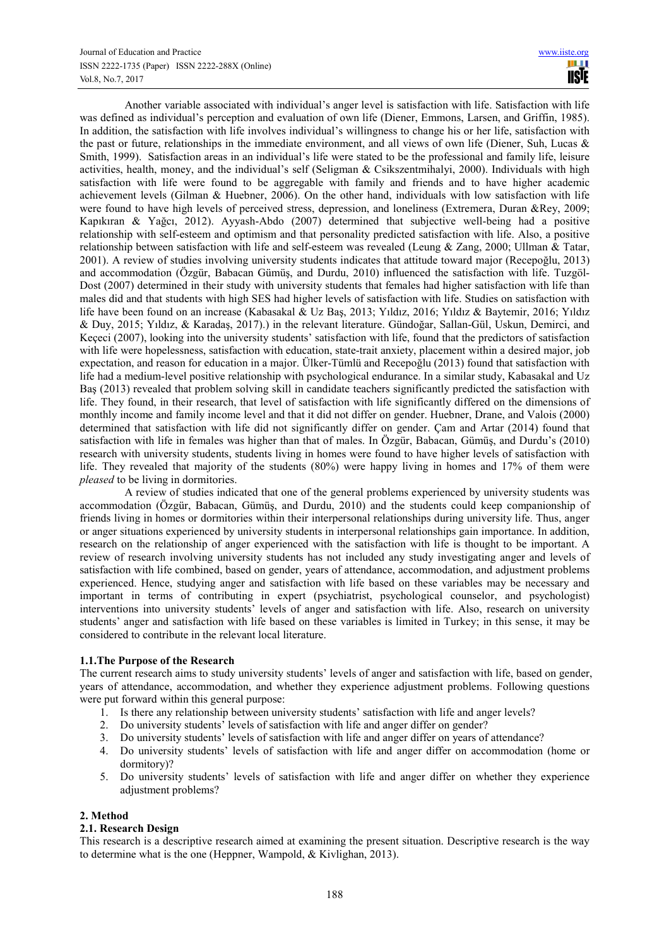Another variable associated with individual's anger level is satisfaction with life. Satisfaction with life was defined as individual's perception and evaluation of own life (Diener, Emmons, Larsen, and Griffin, 1985). In addition, the satisfaction with life involves individual's willingness to change his or her life, satisfaction with the past or future, relationships in the immediate environment, and all views of own life (Diener, Suh, Lucas & Smith, 1999). Satisfaction areas in an individual's life were stated to be the professional and family life, leisure activities, health, money, and the individual's self (Seligman & Csikszentmihalyi, 2000). Individuals with high satisfaction with life were found to be aggregable with family and friends and to have higher academic achievement levels (Gilman & Huebner, 2006). On the other hand, individuals with low satisfaction with life were found to have high levels of perceived stress, depression, and loneliness (Extremera, Duran &Rey, 2009; Kapıkıran & Yağcı, 2012). Ayyash-Abdo (2007) determined that subjective well-being had a positive relationship with self-esteem and optimism and that personality predicted satisfaction with life. Also, a positive relationship between satisfaction with life and self-esteem was revealed (Leung & Zang, 2000; Ullman & Tatar, 2001). A review of studies involving university students indicates that attitude toward major (Recepoğlu, 2013) and accommodation (Özgür, Babacan Gümüş, and Durdu, 2010) influenced the satisfaction with life. Tuzgöl-Dost (2007) determined in their study with university students that females had higher satisfaction with life than males did and that students with high SES had higher levels of satisfaction with life. Studies on satisfaction with life have been found on an increase (Kabasakal & Uz Baş, 2013; Yıldız, 2016; Yıldız & Baytemir, 2016; Yıldız & Duy, 2015; Yıldız, & Karadaş, 2017).) in the relevant literature. Gündoğar, Sallan-Gül, Uskun, Demirci, and Keçeci (2007), looking into the university students' satisfaction with life, found that the predictors of satisfaction with life were hopelessness, satisfaction with education, state-trait anxiety, placement within a desired major, job expectation, and reason for education in a major. Ülker-Tümlü and Recepoğlu (2013) found that satisfaction with life had a medium-level positive relationship with psychological endurance. In a similar study, Kabasakal and Uz Baş (2013) revealed that problem solving skill in candidate teachers significantly predicted the satisfaction with life. They found, in their research, that level of satisfaction with life significantly differed on the dimensions of monthly income and family income level and that it did not differ on gender. Huebner, Drane, and Valois (2000) determined that satisfaction with life did not significantly differ on gender. Çam and Artar (2014) found that satisfaction with life in females was higher than that of males. In Özgür, Babacan, Gümüş, and Durdu's (2010) research with university students, students living in homes were found to have higher levels of satisfaction with life. They revealed that majority of the students (80%) were happy living in homes and 17% of them were *pleased* to be living in dormitories.

A review of studies indicated that one of the general problems experienced by university students was accommodation (Özgür, Babacan, Gümüş, and Durdu, 2010) and the students could keep companionship of friends living in homes or dormitories within their interpersonal relationships during university life. Thus, anger or anger situations experienced by university students in interpersonal relationships gain importance. In addition, research on the relationship of anger experienced with the satisfaction with life is thought to be important. A review of research involving university students has not included any study investigating anger and levels of satisfaction with life combined, based on gender, years of attendance, accommodation, and adjustment problems experienced. Hence, studying anger and satisfaction with life based on these variables may be necessary and important in terms of contributing in expert (psychiatrist, psychological counselor, and psychologist) interventions into university students' levels of anger and satisfaction with life. Also, research on university students' anger and satisfaction with life based on these variables is limited in Turkey; in this sense, it may be considered to contribute in the relevant local literature.

# **1.1.The Purpose of the Research**

The current research aims to study university students' levels of anger and satisfaction with life, based on gender, years of attendance, accommodation, and whether they experience adjustment problems. Following questions were put forward within this general purpose:

- 1. Is there any relationship between university students' satisfaction with life and anger levels?
- 2. Do university students' levels of satisfaction with life and anger differ on gender?
- 3. Do university students' levels of satisfaction with life and anger differ on years of attendance?
- 4. Do university students' levels of satisfaction with life and anger differ on accommodation (home or dormitory)?
- 5. Do university students' levels of satisfaction with life and anger differ on whether they experience adjustment problems?

# **2. Method**

#### **2.1. Research Design**

This research is a descriptive research aimed at examining the present situation. Descriptive research is the way to determine what is the one (Heppner, Wampold, & Kivlighan, 2013).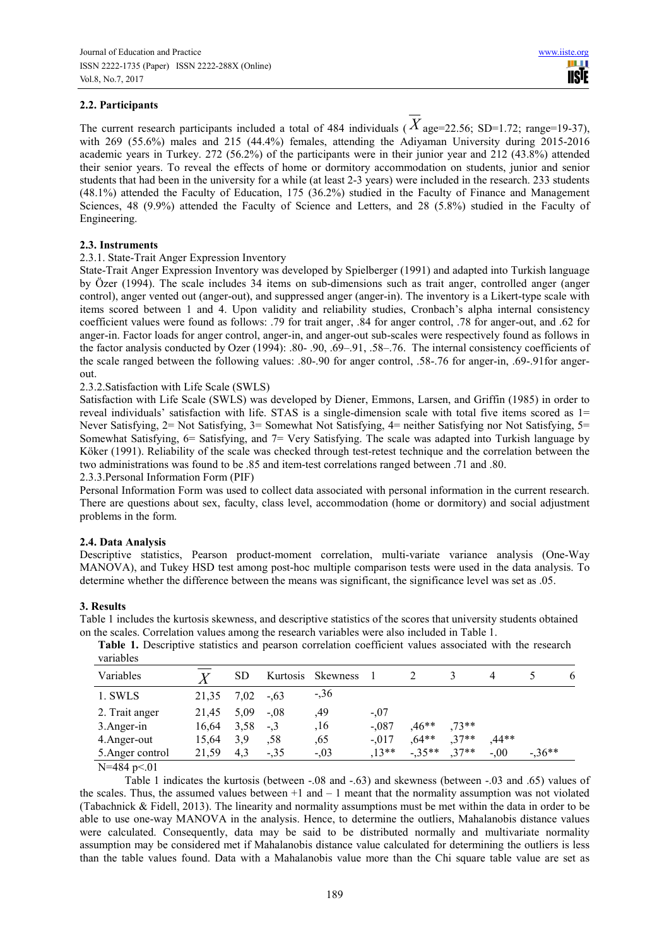The current research participants included a total of 484 individuals ( $\overline{X}$  age=22.56; SD=1.72; range=19-37), with 269 (55.6%) males and 215 (44.4%) females, attending the Adiyaman University during 2015-2016 academic years in Turkey. 272 (56.2%) of the participants were in their junior year and 212 (43.8%) attended their senior years. To reveal the effects of home or dormitory accommodation on students, junior and senior students that had been in the university for a while (at least 2-3 years) were included in the research. 233 students (48.1%) attended the Faculty of Education, 175 (36.2%) studied in the Faculty of Finance and Management Sciences, 48 (9.9%) attended the Faculty of Science and Letters, and 28 (5.8%) studied in the Faculty of Engineering.

# **2.3. Instruments**

# 2.3.1. State-Trait Anger Expression Inventory

State-Trait Anger Expression Inventory was developed by Spielberger (1991) and adapted into Turkish language by Özer (1994). The scale includes 34 items on sub-dimensions such as trait anger, controlled anger (anger control), anger vented out (anger-out), and suppressed anger (anger-in). The inventory is a Likert-type scale with items scored between 1 and 4. Upon validity and reliability studies, Cronbach's alpha internal consistency coefficient values were found as follows: .79 for trait anger, .84 for anger control, .78 for anger-out, and .62 for anger-in. Factor loads for anger control, anger-in, and anger-out sub-scales were respectively found as follows in the factor analysis conducted by Ozer (1994): .80- .90, .69–.91, .58–.76. The internal consistency coefficients of the scale ranged between the following values: .80-.90 for anger control, .58-.76 for anger-in, .69-.91for angerout.

2.3.2.Satisfaction with Life Scale (SWLS)

Satisfaction with Life Scale (SWLS) was developed by Diener, Emmons, Larsen, and Griffin (1985) in order to reveal individuals' satisfaction with life. STAS is a single-dimension scale with total five items scored as 1= Never Satisfying, 2= Not Satisfying, 3= Somewhat Not Satisfying, 4= neither Satisfying nor Not Satisfying, 5= Somewhat Satisfying, 6= Satisfying, and 7= Very Satisfying. The scale was adapted into Turkish language by Köker (1991). Reliability of the scale was checked through test-retest technique and the correlation between the two administrations was found to be .85 and item-test correlations ranged between .71 and .80.

2.3.3.Personal Information Form (PIF)

Personal Information Form was used to collect data associated with personal information in the current research. There are questions about sex, faculty, class level, accommodation (home or dormitory) and social adjustment problems in the form.

# **2.4. Data Analysis**

Descriptive statistics, Pearson product-moment correlation, multi-variate variance analysis (One-Way MANOVA), and Tukey HSD test among post-hoc multiple comparison tests were used in the data analysis. To determine whether the difference between the means was significant, the significance level was set as .05.

#### **3. Results**

Table 1 includes the kurtosis skewness, and descriptive statistics of the scores that university students obtained on the scales. Correlation values among the research variables were also included in Table 1.

**Table 1.** Descriptive statistics and pearson correlation coefficient values associated with the research variables

| Variables        |       | SD   | Kurtosis | <b>Skewness</b> |         |          |         |         | <sub>0</sub> |
|------------------|-------|------|----------|-----------------|---------|----------|---------|---------|--------------|
| 1. SWLS          | 21,35 | 7.02 | $-.63$   | $-36$           |         |          |         |         |              |
| 2. Trait anger   | 21,45 | 5.09 | $-.08$   | .49             | $-.07$  |          |         |         |              |
| 3. Anger-in      | 16,64 | 3.58 | $-.3$    | .16             | $-.087$ | $0.46**$ | $.73**$ |         |              |
| 4. Anger-out     | 15.64 | 3.9  | .58      | ,65             | $-.017$ | $.64**$  | $.37**$ | $.44**$ |              |
| 5. Anger control | 21,59 | 4.3  | $-.35$   | $-.03$          | $13**$  | $-35**$  | $37**$  | $-.00$  | $-36**$      |

N=484 p<.01

Table 1 indicates the kurtosis (between -.08 and -.63) and skewness (between -.03 and .65) values of the scales. Thus, the assumed values between  $+1$  and  $-1$  meant that the normality assumption was not violated (Tabachnick & Fidell, 2013). The linearity and normality assumptions must be met within the data in order to be able to use one-way MANOVA in the analysis. Hence, to determine the outliers, Mahalanobis distance values were calculated. Consequently, data may be said to be distributed normally and multivariate normality assumption may be considered met if Mahalanobis distance value calculated for determining the outliers is less than the table values found. Data with a Mahalanobis value more than the Chi square table value are set as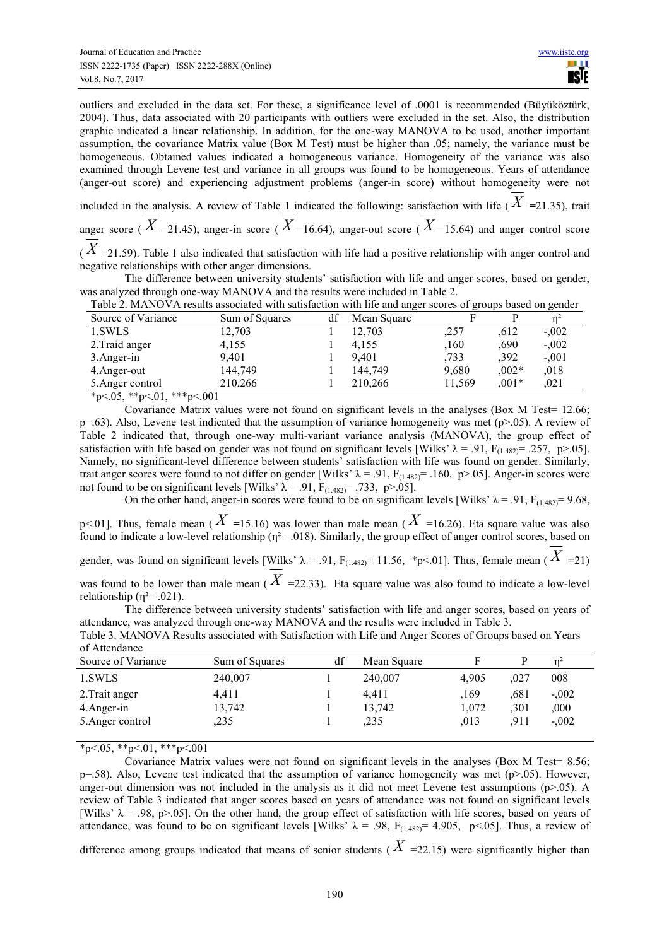outliers and excluded in the data set. For these, a significance level of .0001 is recommended (Büyüköztürk, 2004). Thus, data associated with 20 participants with outliers were excluded in the set. Also, the distribution graphic indicated a linear relationship. In addition, for the one-way MANOVA to be used, another important assumption, the covariance Matrix value (Box M Test) must be higher than .05; namely, the variance must be homogeneous. Obtained values indicated a homogeneous variance. Homogeneity of the variance was also examined through Levene test and variance in all groups was found to be homogeneous. Years of attendance (anger-out score) and experiencing adjustment problems (anger-in score) without homogeneity were not

included in the analysis. A review of Table 1 indicated the following: satisfaction with life ( $\overline{X}$  =21.35), trait anger score ( $\overline{X}$  =21.45), anger-in score ( $\overline{X}$  =16.64), anger-out score ( $\overline{X}$  =15.64) and anger control score

 $(X = 21.59)$ . Table 1 also indicated that satisfaction with life had a positive relationship with anger control and negative relationships with other anger dimensions.

The difference between university students' satisfaction with life and anger scores, based on gender, was analyzed through one-way MANOVA and the results were included in Table 2.

| Table 2. MANOVA results associated with satisfaction with life and anger scores of groups based on gender |                |  |             |      |      |         |  |
|-----------------------------------------------------------------------------------------------------------|----------------|--|-------------|------|------|---------|--|
| Source of Variance                                                                                        | Sum of Squares |  | Mean Square |      |      |         |  |
| 1.SWLS                                                                                                    | 12.703         |  | 12.703      | .257 | .612 | $-.002$ |  |
| 2. Traid anger                                                                                            | 4.155          |  | 4.155       | 160  | 690  | $-.002$ |  |

| $\angle$ . France anger           | 4.133     | 4.199   | ,100   | .vyv    | $-100\angle$ |
|-----------------------------------|-----------|---------|--------|---------|--------------|
| 3. Anger-in                       | 9.401     | 9.401   | .733   | .392    | $-.001$      |
| 4. Anger-out                      | 144.749   | 144.749 | 9.680  | $.002*$ | .018         |
| 5. Anger control                  | 210.266   | 210.266 | 11.569 | $.001*$ | 021          |
| $*_{n}$ $\lt$ 05 $*_{n}$ $\lt$ 01 | ***n< 001 |         |        |         |              |

\*p<.05, \*\*p<.01, \*\*\*p<.001

Covariance Matrix values were not found on significant levels in the analyses (Box M Test= 12.66;  $p=0.63$ ). Also, Levene test indicated that the assumption of variance homogeneity was met ( $p>0.05$ ). A review of Table 2 indicated that, through one-way multi-variant variance analysis (MANOVA), the group effect of satisfaction with life based on gender was not found on significant levels [Wilks'  $\lambda = .91$ , F<sub>(1.482)</sub>= .257, p>.05]. Namely, no significant-level difference between students' satisfaction with life was found on gender. Similarly, trait anger scores were found to not differ on gender [Wilks'  $\lambda$  = .91, F<sub>(1.482)</sub> = .160, p>.05]. Anger-in scores were not found to be on significant levels [Wilks'  $\lambda = .91$ ,  $F_{(1.482)} = .733$ , p>.05].

On the other hand, anger-in scores were found to be on significant levels [Wilks'  $\lambda$  = .91, F<sub>(1.482)</sub>= 9.68, p<.01]. Thus, female mean ( $X = 15.16$ ) was lower than male mean ( $X = 16.26$ ). Eta square value was also found to indicate a low-level relationship ( $n^2$  = .018). Similarly, the group effect of anger control scores, based on gender, was found on significant levels [Wilks'  $\lambda = .91$ ,  $F_{(1.482)} = 11.56$ , \*p<.01]. Thus, female mean ( $X = 21$ ) was found to be lower than male mean ( *X* =22.33). Eta square value was also found to indicate a low-level relationship ( $\eta^2$ = .021).

The difference between university students' satisfaction with life and anger scores, based on years of attendance, was analyzed through one-way MANOVA and the results were included in Table 3.

| of Attendance      |                |    |             |       |      |         |  |
|--------------------|----------------|----|-------------|-------|------|---------|--|
| Source of Variance | Sum of Squares | df | Mean Square |       |      |         |  |
| 1.SWLS             | 240,007        |    | 240,007     | 4.905 | .027 | 008     |  |
| 2. Trait anger     | 4,411          |    | 4.411       | .169  | .681 | $-.002$ |  |
| 4. Anger-in        | 13,742         |    | 13,742      | 1,072 | .301 | .000.   |  |
| 5. Anger control   | .235           |    | .235        | .013  | .911 | $-.002$ |  |
|                    |                |    |             |       |      |         |  |

Table 3. MANOVA Results associated with Satisfaction with Life and Anger Scores of Groups based on Years of Attendance

 $*p<.05$ ,  $*p<.01$ ,  $**p<.001$ 

Covariance Matrix values were not found on significant levels in the analyses (Box M Test= 8.56;  $p=0.58$ ). Also, Levene test indicated that the assumption of variance homogeneity was met ( $p>0.05$ ). However, anger-out dimension was not included in the analysis as it did not meet Levene test assumptions  $(p>0.05)$ . A review of Table 3 indicated that anger scores based on years of attendance was not found on significant levels [Wilks'  $\lambda = .98$ , p>.05]. On the other hand, the group effect of satisfaction with life scores, based on years of attendance, was found to be on significant levels [Wilks'  $\lambda$  = .98, F<sub>(1.482)</sub> = 4.905, p<.05]. Thus, a review of difference among groups indicated that means of senior students ( $X = 22.15$ ) were significantly higher than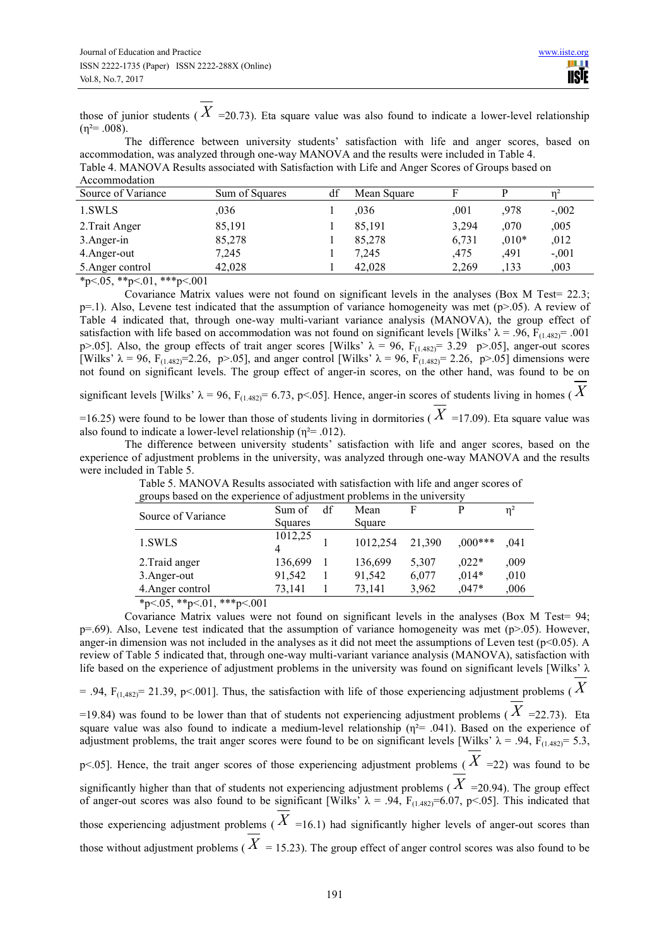those of junior students ( $X = 20.73$ ). Eta square value was also found to indicate a lower-level relationship  $(n^2=0.008)$ .

The difference between university students' satisfaction with life and anger scores, based on accommodation, was analyzed through one-way MANOVA and the results were included in Table 4. Table 4. MANOVA Results associated with Satisfaction with Life and Anger Scores of Groups based on Accommodation

| Source of Variance | Sum of Squares | Mean Square |       |         |         |
|--------------------|----------------|-------------|-------|---------|---------|
| 1.SWLS             | ,036           | .036        | .001  | .978    | $-.002$ |
| 2. Trait Anger     | 85,191         | 85,191      | 3,294 | .070    | ,005    |
| 3.Anger-in         | 85,278         | 85,278      | 6,731 | $,010*$ | ,012    |
| 4. Anger-out       | 7,245          | 7,245       | .475  | .491    | $-.001$ |
| 5. Anger control   | 42.028         | 42.028      | 2.269 | .133    | ,003    |

 $*p<.05$ ,  $*p<.01$ ,  $**p<.001$ 

Covariance Matrix values were not found on significant levels in the analyses (Box M Test= 22.3;  $p=1$ ). Also, Levene test indicated that the assumption of variance homogeneity was met ( $p>0.05$ ). A review of Table 4 indicated that, through one-way multi-variant variance analysis (MANOVA), the group effect of satisfaction with life based on accommodation was not found on significant levels [Wilks'  $\lambda = .96$ ,  $F_{(1.482)} = .001$ p>.05]. Also, the group effects of trait anger scores [Wilks'  $\lambda = 96$ , F<sub>(1.482)</sub>= 3.29 p>.05], anger-out scores [Wilks'  $\lambda = 96$ , F<sub>(1.482)</sub>=2.26, p>.05], and anger control [Wilks'  $\lambda = 96$ , F<sub>(1.482)</sub>=2.26, p>.05] dimensions were not found on significant levels. The group effect of anger-in scores, on the other hand, was found to be on

significant levels [Wilks'  $\lambda$  = 96, F<sub>(1.482)</sub> = 6.73, p<.05]. Hence, anger-in scores of students living in homes (X)

=16.25) were found to be lower than those of students living in dormitories ( $X$  =17.09). Eta square value was also found to indicate a lower-level relationship ( $\eta^2$ = .012).

The difference between university students' satisfaction with life and anger scores, based on the experience of adjustment problems in the university, was analyzed through one-way MANOVA and the results were included in Table 5.

| groups based on the experience of adjustment problems in the university                                                                                                            |              |    |          |        |           |       |  |  |
|------------------------------------------------------------------------------------------------------------------------------------------------------------------------------------|--------------|----|----------|--------|-----------|-------|--|--|
| Source of Variance                                                                                                                                                                 | Sum of       | df | Mean     | Е      |           | $n^2$ |  |  |
|                                                                                                                                                                                    | Squares      |    | Square   |        |           |       |  |  |
| 1.SWLS                                                                                                                                                                             | 1012,25<br>4 |    | 1012,254 | 21,390 | $0.00***$ | .041  |  |  |
| 2. Traid anger                                                                                                                                                                     | 136,699      |    | 136,699  | 5,307  | $.022*$   | ,009  |  |  |
| 3. Anger-out                                                                                                                                                                       | 91,542       |    | 91,542   | 6,077  | $.014*$   | .010  |  |  |
| 4. Anger control                                                                                                                                                                   | 73,141       |    | 73,141   | 3,962  | $0.47*$   | ,006  |  |  |
| $\mathbf{a}$ . $\mathbf{a}$ , $\mathbf{a}$ , $\mathbf{a}$ , $\mathbf{a}$ , $\mathbf{a}$ , $\mathbf{a}$ , $\mathbf{a}$ , $\mathbf{a}$ , $\mathbf{a}$<br>$\sim$ $\sim$ $\sim$ $\sim$ |              |    |          |        |           |       |  |  |

Table 5. MANOVA Results associated with satisfaction with life and anger scores of ns based on the experience of adjustment problems in the university

 $*p<.05$ ,  $*p<.01$ ,  $**p<.001$ 

Covariance Matrix values were not found on significant levels in the analyses (Box M Test= 94;  $p=0.69$ ). Also, Levene test indicated that the assumption of variance homogeneity was met ( $p>0.05$ ). However, anger-in dimension was not included in the analyses as it did not meet the assumptions of Leven test ( $p<0.05$ ). A review of Table 5 indicated that, through one-way multi-variant variance analysis (MANOVA), satisfaction with life based on the experience of adjustment problems in the university was found on significant levels [Wilks' λ

 $= .94$ , F<sub>(1,482)</sub> = 21.39, p<.001]. Thus, the satisfaction with life of those experiencing adjustment problems (X

=19.84) was found to be lower than that of students not experiencing adjustment problems ( $\hat{X}$  =22.73). Eta square value was also found to indicate a medium-level relationship  $(\eta^2 = .041)$ . Based on the experience of adjustment problems, the trait anger scores were found to be on significant levels [Wilks'  $\lambda = .94$ , F<sub>(1.482)</sub>= 5.3, p<.05]. Hence, the trait anger scores of those experiencing adjustment problems ( *X* =22) was found to be significantly higher than that of students not experiencing adjustment problems ( $X$  =20.94). The group effect of anger-out scores was also found to be significant [Wilks'  $\lambda = .94$ ,  $F_{(1.482)} = 6.07$ , p<.05]. This indicated that those experiencing adjustment problems ( $X = 16.1$ ) had significantly higher levels of anger-out scores than those without adjustment problems ( $X = 15.23$ ). The group effect of anger control scores was also found to be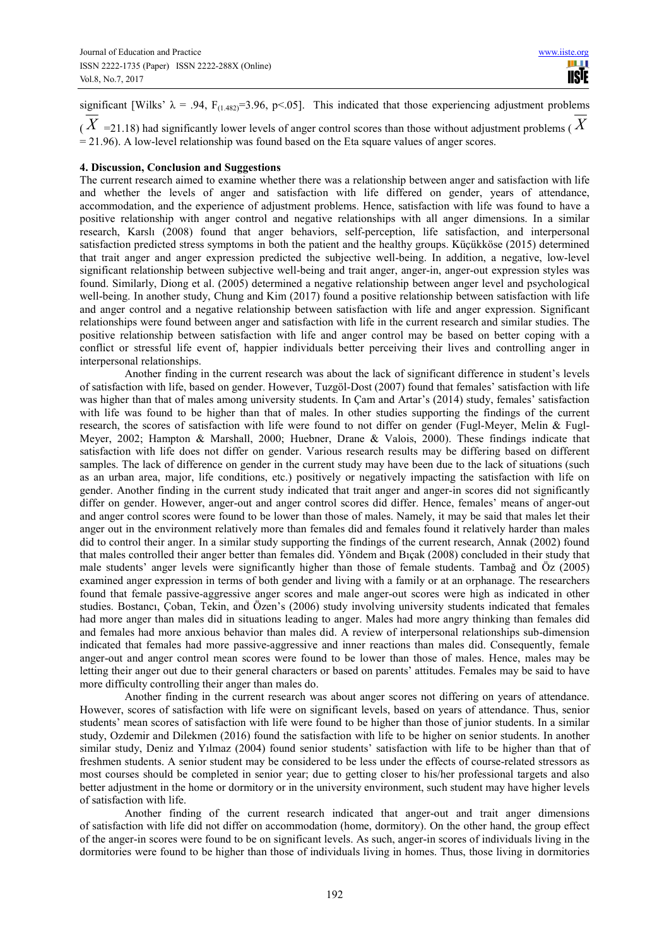significant [Wilks'  $\lambda = .94$ , F<sub>(1.482)</sub>=3.96, p<.05]. This indicated that those experiencing adjustment problems  $(X = 21.18)$  had significantly lower levels of anger control scores than those without adjustment problems ( $X$ 

 $= 21.96$ ). A low-level relationship was found based on the Eta square values of anger scores.

#### **4. Discussion, Conclusion and Suggestions**

The current research aimed to examine whether there was a relationship between anger and satisfaction with life and whether the levels of anger and satisfaction with life differed on gender, years of attendance, accommodation, and the experience of adjustment problems. Hence, satisfaction with life was found to have a positive relationship with anger control and negative relationships with all anger dimensions. In a similar research, Karslı (2008) found that anger behaviors, self-perception, life satisfaction, and interpersonal satisfaction predicted stress symptoms in both the patient and the healthy groups. Küçükköse (2015) determined that trait anger and anger expression predicted the subjective well-being. In addition, a negative, low-level significant relationship between subjective well-being and trait anger, anger-in, anger-out expression styles was found. Similarly, Diong et al. (2005) determined a negative relationship between anger level and psychological well-being. In another study, Chung and Kim (2017) found a positive relationship between satisfaction with life and anger control and a negative relationship between satisfaction with life and anger expression. Significant relationships were found between anger and satisfaction with life in the current research and similar studies. The positive relationship between satisfaction with life and anger control may be based on better coping with a conflict or stressful life event of, happier individuals better perceiving their lives and controlling anger in interpersonal relationships.

Another finding in the current research was about the lack of significant difference in student's levels of satisfaction with life, based on gender. However, Tuzgöl-Dost (2007) found that females' satisfaction with life was higher than that of males among university students. In Çam and Artar's (2014) study, females' satisfaction with life was found to be higher than that of males. In other studies supporting the findings of the current research, the scores of satisfaction with life were found to not differ on gender (Fugl-Meyer, Melin & Fugl-Meyer, 2002; Hampton & Marshall, 2000; Huebner, Drane & Valois, 2000). These findings indicate that satisfaction with life does not differ on gender. Various research results may be differing based on different samples. The lack of difference on gender in the current study may have been due to the lack of situations (such as an urban area, major, life conditions, etc.) positively or negatively impacting the satisfaction with life on gender. Another finding in the current study indicated that trait anger and anger-in scores did not significantly differ on gender. However, anger-out and anger control scores did differ. Hence, females' means of anger-out and anger control scores were found to be lower than those of males. Namely, it may be said that males let their anger out in the environment relatively more than females did and females found it relatively harder than males did to control their anger. In a similar study supporting the findings of the current research, Annak (2002) found that males controlled their anger better than females did. Yöndem and Bıçak (2008) concluded in their study that male students' anger levels were significantly higher than those of female students. Tambağ and Öz (2005) examined anger expression in terms of both gender and living with a family or at an orphanage. The researchers found that female passive-aggressive anger scores and male anger-out scores were high as indicated in other studies. Bostancı, Çoban, Tekin, and Özen's (2006) study involving university students indicated that females had more anger than males did in situations leading to anger. Males had more angry thinking than females did and females had more anxious behavior than males did. A review of interpersonal relationships sub-dimension indicated that females had more passive-aggressive and inner reactions than males did. Consequently, female anger-out and anger control mean scores were found to be lower than those of males. Hence, males may be letting their anger out due to their general characters or based on parents' attitudes. Females may be said to have more difficulty controlling their anger than males do.

Another finding in the current research was about anger scores not differing on years of attendance. However, scores of satisfaction with life were on significant levels, based on years of attendance. Thus, senior students' mean scores of satisfaction with life were found to be higher than those of junior students. In a similar study, Ozdemir and Dilekmen (2016) found the satisfaction with life to be higher on senior students. In another similar study, Deniz and Yılmaz (2004) found senior students' satisfaction with life to be higher than that of freshmen students. A senior student may be considered to be less under the effects of course-related stressors as most courses should be completed in senior year; due to getting closer to his/her professional targets and also better adjustment in the home or dormitory or in the university environment, such student may have higher levels of satisfaction with life.

Another finding of the current research indicated that anger-out and trait anger dimensions of satisfaction with life did not differ on accommodation (home, dormitory). On the other hand, the group effect of the anger-in scores were found to be on significant levels. As such, anger-in scores of individuals living in the dormitories were found to be higher than those of individuals living in homes. Thus, those living in dormitories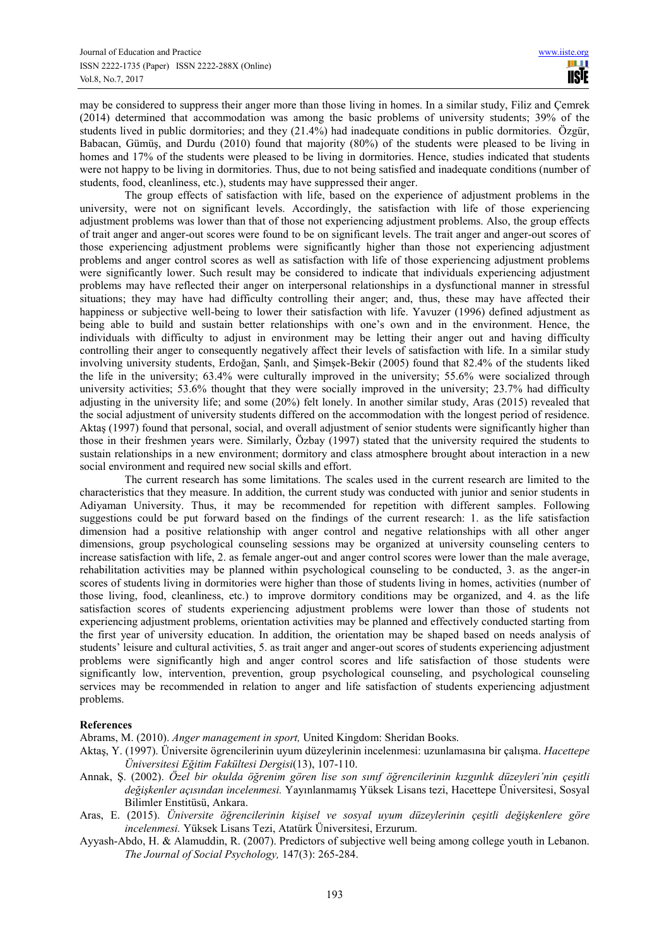may be considered to suppress their anger more than those living in homes. In a similar study, Filiz and Çemrek (2014) determined that accommodation was among the basic problems of university students; 39% of the students lived in public dormitories; and they (21.4%) had inadequate conditions in public dormitories. Özgür, Babacan, Gümüş, and Durdu (2010) found that majority (80%) of the students were pleased to be living in homes and 17% of the students were pleased to be living in dormitories. Hence, studies indicated that students were not happy to be living in dormitories. Thus, due to not being satisfied and inadequate conditions (number of students, food, cleanliness, etc.), students may have suppressed their anger.

The group effects of satisfaction with life, based on the experience of adjustment problems in the university, were not on significant levels. Accordingly, the satisfaction with life of those experiencing adjustment problems was lower than that of those not experiencing adjustment problems. Also, the group effects of trait anger and anger-out scores were found to be on significant levels. The trait anger and anger-out scores of those experiencing adjustment problems were significantly higher than those not experiencing adjustment problems and anger control scores as well as satisfaction with life of those experiencing adjustment problems were significantly lower. Such result may be considered to indicate that individuals experiencing adjustment problems may have reflected their anger on interpersonal relationships in a dysfunctional manner in stressful situations; they may have had difficulty controlling their anger; and, thus, these may have affected their happiness or subjective well-being to lower their satisfaction with life. Yavuzer (1996) defined adjustment as being able to build and sustain better relationships with one's own and in the environment. Hence, the individuals with difficulty to adjust in environment may be letting their anger out and having difficulty controlling their anger to consequently negatively affect their levels of satisfaction with life. In a similar study involving university students, Erdoğan, Şanlı, and Şimşek-Bekir (2005) found that 82.4% of the students liked the life in the university; 63.4% were culturally improved in the university; 55.6% were socialized through university activities; 53.6% thought that they were socially improved in the university; 23.7% had difficulty adjusting in the university life; and some (20%) felt lonely. In another similar study, Aras (2015) revealed that the social adjustment of university students differed on the accommodation with the longest period of residence. Aktas (1997) found that personal, social, and overall adjustment of senior students were significantly higher than those in their freshmen years were. Similarly, Özbay (1997) stated that the university required the students to sustain relationships in a new environment; dormitory and class atmosphere brought about interaction in a new social environment and required new social skills and effort.

The current research has some limitations. The scales used in the current research are limited to the characteristics that they measure. In addition, the current study was conducted with junior and senior students in Adiyaman University. Thus, it may be recommended for repetition with different samples. Following suggestions could be put forward based on the findings of the current research: 1. as the life satisfaction dimension had a positive relationship with anger control and negative relationships with all other anger dimensions, group psychological counseling sessions may be organized at university counseling centers to increase satisfaction with life, 2. as female anger-out and anger control scores were lower than the male average, rehabilitation activities may be planned within psychological counseling to be conducted, 3. as the anger-in scores of students living in dormitories were higher than those of students living in homes, activities (number of those living, food, cleanliness, etc.) to improve dormitory conditions may be organized, and 4. as the life satisfaction scores of students experiencing adjustment problems were lower than those of students not experiencing adjustment problems, orientation activities may be planned and effectively conducted starting from the first year of university education. In addition, the orientation may be shaped based on needs analysis of students' leisure and cultural activities, 5. as trait anger and anger-out scores of students experiencing adjustment problems were significantly high and anger control scores and life satisfaction of those students were significantly low, intervention, prevention, group psychological counseling, and psychological counseling services may be recommended in relation to anger and life satisfaction of students experiencing adjustment problems.

# **References**

Abrams, M. (2010). *Anger management in sport,* United Kingdom: Sheridan Books.

- Aktaş, Y. (1997). Üniversite ögrencilerinin uyum düzeylerinin incelenmesi: uzunlamasına bir çalışma. *Hacettepe Üniversitesi Eğitim Fakültesi Dergisi*(13), 107-110.
- Annak, Ş. (2002). *Özel bir okulda öğrenim gören lise son sınıf öğrencilerinin kızgınlık düzeyleri'nin çeşitli değişkenler açısından incelenmesi.* Yayınlanmamış Yüksek Lisans tezi, Hacettepe Üniversitesi, Sosyal Bilimler Enstitüsü, Ankara.
- Aras, E. (2015). *Üniversite öğrencilerinin kişisel ve sosyal uyum düzeylerinin çeşitli değişkenlere göre incelenmesi.* Yüksek Lisans Tezi, Atatürk Üniversitesi, Erzurum.
- Ayyash-Abdo, H. & Alamuddin, R. (2007). Predictors of subjective well being among college youth in Lebanon. *The Journal of Social Psychology,* 147(3): 265-284.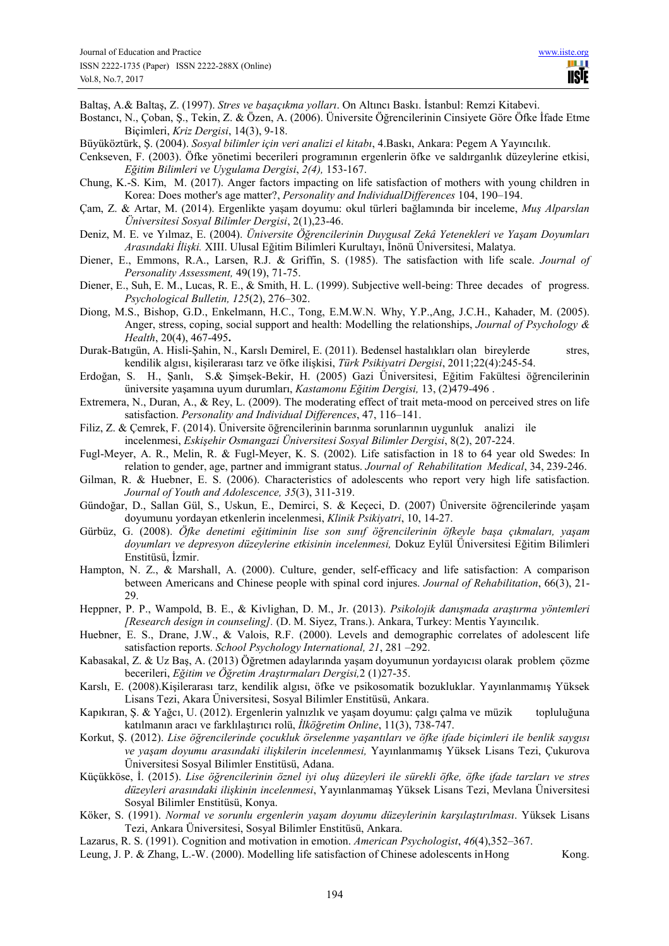Baltaş, A.& Baltaş, Z. (1997). *Stres ve başaçıkma yolları*. On Altıncı Baskı. İstanbul: Remzi Kitabevi.

Bostancı, N., Çoban, Ş., Tekin, Z. & Özen, A. (2006). Üniversite Öğrencilerinin Cinsiyete Göre Öfke İfade Etme Biçimleri, *Kriz Dergisi*, 14(3), 9-18.

Büyüköztürk, Ş. (2004). *Sosyal bilimler için veri analizi el kitabı*, 4.Baskı, Ankara: Pegem A Yayıncılık.

Cenkseven, F. (2003). Öfke yönetimi becerileri programının ergenlerin öfke ve saldırganlık düzeylerine etkisi, *Eğitim Bilimleri ve Uygulama Dergisi*, *2(4),* 153-167.

Chung, K.-S. Kim, M. (2017). Anger factors impacting on life satisfaction of mothers with young children in Korea: Does mother's age matter?, *Personality and Individual Differences* 104, 190–194.

Çam, Z. & Artar, M. (2014). Ergenlikte yaşam doyumu: okul türleri bağlamında bir inceleme, *Muş Alparslan Ünı̇versı̇tesı̇ Sosyal Bı̇lı̇mler Dergisi*, 2(1),23-46.

Deniz, M. E. ve Yılmaz, E. (2004). *Üniversite Öğrencilerinin Duygusal Zekâ Yetenekleri ve Yaşam Doyumları Arasındaki İlişki.* XIII. Ulusal Eğitim Bilimleri Kurultayı, İnönü Üniversitesi, Malatya.

Diener, E., Emmons, R.A., Larsen, R.J. & Griffin, S. (1985). The satisfaction with life scale. *Journal of Personality Assessment,* 49(19), 71-75.

Diener, E., Suh, E. M., Lucas, R. E., & Smith, H. L. (1999). Subjective well-being: Three decades of progress. *Psychological Bulletin, 125*(2), 276–302.

Diong, M.S., Bishop, G.D., Enkelmann, H.C., Tong, E.M.W.N. Why, Y.P.,Ang, J.C.H., Kahader, M. (2005). Anger, stress, coping, social support and health: Modelling the relationships, *Journal of Psychology & Health*, 20(4), 467-495**.**

Durak-Batıgün, A. Hisli-Şahin, N., Karslı Demirel, E. (2011). Bedensel hastalıkları olan bireylerde stres, kendilik algısı, kişilerarası tarz ve öfke ilişkisi, *Türk Psikiyatri Dergisi*, 2011;22(4):245-54.

Erdoğan, S. H., Şanlı, S.& Şimşek-Bekir, H. (2005) Gazi Üniversitesi, Eğitim Fakültesi öğrencilerinin üniversite yaşamına uyum durumları, *Kastamonu Eğitim Dergisi,* 13, (2)479-496 .

Extremera, N., Duran, A., & Rey, L. (2009). The moderating effect of trait meta-mood on perceived stres on life satisfaction. *Personality and Individual Differences*, 47, 116–141.

- Filiz, Z. & Çemrek, F. (2014). Üniversite öğrencilerinin barınma sorunlarının uygunluk analizi ile incelenmesi, *Eskişehir Osmangazi Üniversitesi Sosyal Bilimler Dergisi*, 8(2), 207-224.
- Fugl-Meyer, A. R., Melin, R. & Fugl-Meyer, K. S. (2002). Life satisfaction in 18 to 64 year old Swedes: In relation to gender, age, partner and immigrant status. *Journal of Rehabilitation Medical*, 34, 239-246.
- Gilman, R. & Huebner, E. S. (2006). Characteristics of adolescents who report very high life satisfaction. *Journal of Youth and Adolescence, 35*(3), 311-319.
- Gündoğar, D., Sallan Gül, S., Uskun, E., Demirci, S. & Keçeci, D. (2007) Üniversite öğrencilerinde yaşam doyumunu yordayan etkenlerin incelenmesi, *Klinik Psikiyatri*, 10, 14-27.
- Gürbüz, G. (2008). *Öfke denetimi eğitiminin lise son sınıf öğrencilerinin öfkeyle başa çıkmaları, yaşam doyumları ve depresyon düzeylerine etkisinin incelenmesi,* Dokuz Eylül Üniversitesi Eğitim Bilimleri Enstitüsü, İzmir.
- Hampton, N. Z., & Marshall, A. (2000). Culture, gender, self-efficacy and life satisfaction: A comparison between Americans and Chinese people with spinal cord injures. *Journal of Rehabilitation*, 66(3), 21- 29.
- Heppner, P. P., Wampold, B. E., & Kivlighan, D. M., Jr. (2013). *Psikolojik danışmada araştırma yöntemleri [Research design in counseling].* (D. M. Siyez, Trans.). Ankara, Turkey: Mentis Yayıncılık.
- Huebner, E. S., Drane, J.W., & Valois, R.F. (2000). Levels and demographic correlates of adolescent life satisfaction reports. *School Psychology International, 21*, 281 –292.
- Kabasakal, Z. & Uz Baş, A. (2013) Öğretmen adaylarında yaşam doyumunun yordayıcısı olarak problem çözme becerileri, *Eğitim ve Öğretim Araştırmaları Dergisi,*2 (1)27-35.
- Karslı, E. (2008).Kişilerarası tarz, kendilik algısı, öfke ve psikosomatik bozukluklar. Yayınlanmamış Yüksek Lisans Tezi, Akara Üniversitesi, Sosyal Bilimler Enstitüsü, Ankara.
- Kapıkıran, Ş. & Yağcı, U. (2012). Ergenlerin yalnızlık ve yaşam doyumu: çalgı çalma ve müzik topluluğuna katılmanın aracı ve farklılaştırıcı rolü, *İlköğretim Online*, 11(3), 738-747.
- Korkut, Ş. (2012). *Lise öğrencilerinde çocukluk örselenme yaşantıları ve öfke ifade biçimleri ile benlik saygısı ve yaşam doyumu arasındaki ilişkilerin incelenmesi,* Yayınlanmamış Yüksek Lisans Tezi, Çukurova Üniversitesi Sosyal Bilimler Enstitüsü, Adana.
- Küçükköse, İ. (2015). *Lise öğrencilerinin öznel iyi oluş düzeyleri ile sürekli öfke, öfke ifade tarzları ve stres düzeyleri arasındaki ilişkinin incelenmesi*, Yayınlanmamaş Yüksek Lisans Tezi, Mevlana Üniversitesi Sosyal Bilimler Enstitüsü, Konya.

Köker, S. (1991). *Normal ve sorunlu ergenlerin yaşam doyumu düzeylerinin karşılaştırılması*. Yüksek Lisans Tezi, Ankara Üniversitesi, Sosyal Bilimler Enstitüsü, Ankara.

Lazarus, R. S. (1991). Cognition and motivation in emotion. *American Psychologist*, *46*(4),352–367.

Leung, J. P. & Zhang, L.-W. (2000). Modelling life satisfaction of Chinese adolescents in Hong Kong.